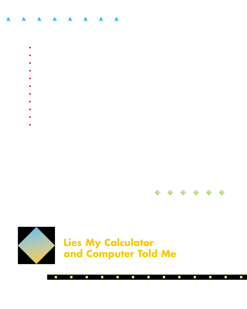- 
- 
- 
- 
- 
- 
- 
- 
- 
- 



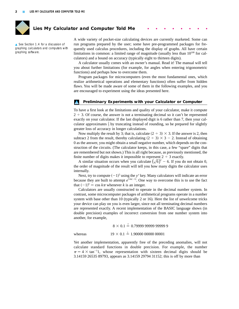

# Lies My Calculator and Computer Told Me

▲ See Section 1.4 for a discussion of graphing calculators and computers with graphing software.

A wide variety of pocket-size calculating devices are currently marketed. Some can run programs prepared by the user; some have pre-programmed packages for frequently used calculus procedures, including the display of graphs. All have certain limitations in common: a limited range of magnitude (usually less than  $10^{100}$  for calculators) and a bound on accuracy (typically eight to thirteen digits).

A calculator usually comes with an owner's manual. Read it! The manual will tell you about further limitations (for example, for angles when entering trigonometric functions) and perhaps how to overcome them.

Program packages for microcomputers (even the most fundamental ones, which realize arithmetical operations and elementary functions) often suffer from hidden flaws. You will be made aware of some of them in the following examples, and you are encouraged to experiment using the ideas presented here.

## **Preliminary Experiments with your Calculator or Computer**

To have a first look at the limitations and quality of your calculator, make it compute  $2 \div 3$ . Of course, the answer is not a terminating decimal so it can't be represented exactly on your calculator. If the last displayed digit is 6 rather than 7, then your calculator approximates  $\frac{2}{3}$  by truncating instead of rounding, so be prepared for slightly greater loss of accuracy in longer calculations.

Now multiply the result by 3; that is, calculate  $(2 \div 3) \times 3$ . If the answer is 2, then subtract 2 from the result, thereby calculating  $(2 \div 3) \times 3 - 2$ . Instead of obtaining 0 as the answer, you might obtain a small negative number, which depends on the construction of the circuits. (The calculator keeps, in this case, a few "spare" digits that are remembered but not shown.) This is all right because, as previously mentioned, the finite number of digits makes it impossible to represent  $2 \div 3$  exactly.

A similar situation occurs when you calculate  $(\sqrt{6})^2$  – 6. If you do not obtain 0, the order of magnitude of the result will tell you how many digits the calculator uses internally.

Next, try to compute  $(-1)^5$  using the  $y^x$  key. Many calculators will indicate an error because they are built to attempt  $e^{5 \ln(-1)}$ . One way to overcome this is to use the fact that  $(-1)^k = \cos k\pi$  whenever k is an integer.

Calculators are usually constructed to operate in the decimal number system. In contrast, some microcomputer packages of arithmetical programs operate in a number system with base other than 10 (typically 2 or 16). Here the list of unwelcome tricks your device can play on you is even larger, since not all terminating decimal numbers are represented exactly. A recent implementation of the BASIC language shows (in double precision) examples of incorrect conversion from one number system into another, for example,

8 0.1 -? 0.79999 99999 99999 9

whereas

 $19 \times 0.1 \stackrel{?}{=} 1.90000\ 00000\ 00001$ 

Yet another implementation, apparently free of the preceding anomalies, will not calculate standard functions in double precision. For example, the number  $\pi = 4 \times \tan^{-1}1$ , whose representation with sixteen decimal digits should be 3.14159 26535 89793, appears as 3.14159 29794 31152; this is off by more than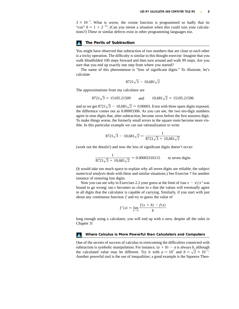$3 \times 10^{-7}$ . What is worse, the cosine function is programmed so badly that its "cos"  $0 = 1 + 2^{-23}$ . (Can you invent a situation when this could ruin your calculations?) These or similar defects exist in other programming languages too.

### **The Perils of Subtraction**

You might have observed that subtraction of two numbers that are close to each other is a tricky operation. The difficulty is similar to this thought exercise: Imagine that you walk blindfolded 100 steps forward and then turn around and walk 99 steps. Are you sure that you end up exactly one step from where you started?

The name of this phenomenon is "loss of significant digits." To illustrate, let's calculate

$$
8721\sqrt{3} - 10,681\sqrt{2}
$$

The approximations from my calculator are

and  $8721\sqrt{3} \approx 15105.21509$  and  $10,681\sqrt{2} \approx 15105.21506$ 

and so we get 8721 $\sqrt{3}$  – 10,681 $\sqrt{2}$   $\approx$  0.00003. Even with three spare digits exposed, the difference comes out as 0.00003306. As you can see, the two ten-digit numbers agree in nine digits that, after subtraction, become zeros before the first nonzero digit. To make things worse, the formerly small errors in the square roots become more visible. In this particular example we can use rationalization to write

$$
8721\sqrt{3} - 10,681\sqrt{2} = \frac{1}{8721\sqrt{3} + 10,681\sqrt{2}}
$$

(work out the details!) and now the loss of significant digits doesn't occur:

$$
\frac{1}{8721\sqrt{3} + 10,681\sqrt{2}} \approx 0.00003310115
$$
 to seven digits

(It would take too much space to explain why all seven digits are reliable; the subject *numerical analysis* deals with these and similar situations.) See Exercise 7 for another instance of restoring lost digits.

Now you can see why in Exercises 2.2 your guess at the limit of  $(\tan x - x)/x^3$  was bound to go wrong:  $\tan x$  becomes so close to x that the values will eventually agree in all digits that the calculator is capable of carrying. Similarly, if you start with just about any continuous function  $f$  and try to guess the value of

$$
f'(x) = \lim_{h \to 0} \frac{f(x+h) - f(x)}{h}
$$

long enough using a calculator, you will end up with a zero, despite all the rules in Chapter 3!

#### **Where Calculus is More Powerful than Calculators and Computers**

One of the secrets of success of calculus in overcoming the difficulties connected with subtraction is symbolic manipulation. For instance,  $(a + b) - a$  is always b, although the calculated value may be different. Try it with  $a = 10^7$  and  $b = \sqrt{2} \times 10^{-5}$ . Another powerful tool is the use of inequalities; a good example is the Squeeze Theo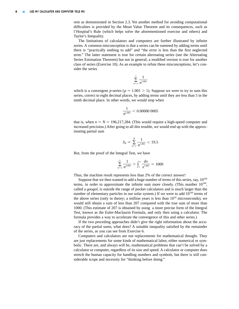rem as demonstrated in Section 2.3. Yet another method for avoiding computational difficulties is provided by the Mean Value Theorem and its consequences, such as l'Hospital's Rule (which helps solve the aforementioned exercise and others) and Taylor's Inequality.

The limitations of calculators and computers are further illustrated by infinite series. A common misconception is that a series can be summed by adding terms until there is "practically nothing to add" and "the error is less than the first neglected term." The latter statement is true for certain alternating series (see the Alternating Series Estimation Theorem) but not in general; a modified version is true for another class of series (Exercise 10). As an example to refute these misconceptions, let's consider the series

$$
\sum_{n=1}^{\infty} \frac{1}{n^{1.001}}
$$

which is a convergent p-series ( $p = 1.001 > 1$ ). Suppose we were to try to sum this series, correct to eight decimal places, by adding terms until they are less than 5 in the ninth decimal place. In other words, we would stop when

$$
\frac{1}{n^{1.001}} < 0.00000\ 0005
$$

that is, when  $n = N = 196,217,284$ . (This would require a high-speed computer and increased precision.) After going to all this trouble, we would end up with the approximating partial sum

$$
S_N = \sum_{n=1}^N \frac{1}{n^{1.001}} < 19.5
$$

But, from the proof of the Integral Test, we have

$$
\sum_{n=1}^{\infty} \frac{1}{n^{1.001}} > \int_{1}^{\infty} \frac{dx}{x^{1.001}} = 1000
$$

Thus, the machine result represents less than 2% of the correct answer!

Suppose that we then wanted to add a huge number of terms of this series, say,  $10^{100}$ terms, in order to approximate the infinite sum more closely. (This number  $10^{100}$ , called a *googol*, is outside the range of pocket calculators and is much larger than the number of elementary particles in our solar system.) If we were to add  $10^{100}$  terms of the above series (only in theory; a million years is less than  $10^{26}$  microseconds), we would still obtain a sum of less than 207 compared with the true sum of more than 1000. (This estimate of 207 is obtained by using a more precise form of the Integral Test, known as the Euler-Maclaurin Formula, and only then using a calculator. The formula provides a way to accelerate the convergence of this and other series.)

If the two preceding approaches didn't give the right information about the accuracy of the partial sums, what does? A suitable inequality satisfied by the remainder of the series, as you can see from Exercise 6.

Computers and calculators are not replacements for mathematical thought. They are just replacements for some kinds of mathematical labor, either numerical or symbolic. There are, and always will be, mathematical problems that can't be solved by a calculator or computer, regardless of its size and speed. A calculator or computer does stretch the human capacity for handling numbers and symbols, but there is still considerable scope and necessity for "thinking before doing."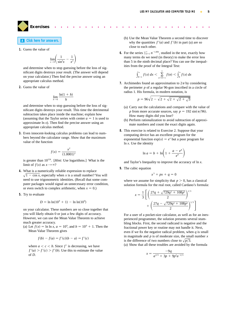**Exercises** ●●●●●●●●●●●●●●●●●●●●●●●●●●

# **A [Click here for answers.](#page-5-0)**

**1.** Guess the value of

$$
\lim_{x \to 0} \left( \frac{1}{\sin^2 x} - \frac{1}{x^2} \right)
$$

and determine when to stop guessing before the loss of significant digits destroys your result. (The answer will depend on your calculator.) Then find the precise answer using an appropriate calculus method.

**2.** Guess the value of

$$
\lim_{h\to 0}\frac{\ln(1+h)}{h}
$$

and determine when to stop guessing before the loss of significant digits destroys your result. This time the detrimental subtraction takes place inside the machine; explain how (assuming that the Taylor series with center  $a = 1$  is used to approximate  $\ln x$ ). Then find the precise answer using an appropriate calculus method.

**3.** Even innocent-looking calculus problems can lead to numbers beyond the calculator range. Show that the maximum value of the function

$$
f(x) = \frac{x^2}{(1.0001)^x}
$$

is greater than  $10^{124}$ . [*Hint:* Use logarithms.] What is the limit of  $f(x)$  as  $x \rightarrow \infty$ ?

- **4.** What is a numerically reliable expression to replace  $\sqrt{1 - \cos x}$ , especially when x is a small number? You will need to use trigonometric identities. (Recall that some computer packages would signal an unnecessary error condition, or even switch to complex arithmetic, when  $x = 0$ .)
- **5.** Try to evaluate

$$
D = \ln \ln(10^9 + 1) - \ln \ln(10^9)
$$

on your calculator. These numbers are so close together that you will likely obtain 0 or just a few digits of accuracy. However, we can use the Mean Value Theorem to achieve much greater accuracy.

(a) Let  $f(x) = \ln \ln x$ ,  $a = 10^9$ , and  $b = 10^9 + 1$ . Then the Mean Value Theorem gives

$$
f(b) - f(a) = f'(c)(b - a) = f'(c)
$$

where  $a \leq c \leq b$ . Since f' is decreasing, we have  $f'(a) > f'(c) > f'(b)$ . Use this to estimate the value of *D*.

- (b) Use the Mean Value Theorem a second time to discover why the quantities  $f'(a)$  and  $f'(b)$  in part (a) are so close to each other.
- **6.** For the series  $\sum_{n=1}^{\infty} n^{-1.001}$ , studied in the text, exactly how many terms do we need (in theory) to make the error less than 5 in the ninth decimal place? You can use the inequalities from the proof of the Integral Test:

$$
\int_{N+1}^{\infty} f(x) \, dx < \sum_{n=N+1}^{\infty} f(n) < \int_{N}^{\infty} f(x) \, dx
$$

**7.** Archimedes found an approximation to  $2\pi$  by considering the perimeter  $p$  of a regular 96-gon inscribed in a circle of radius 1. His formula, in modern notation, is

$$
p = 96\sqrt{2 - \sqrt{2 + \sqrt{2 + \sqrt{2 + \sqrt{3}}}}}
$$

- (a) Carry out the calculations and compare with the value of p from more accurate sources, say  $p = 192 \sin(\pi/96)$ . How many digits did you lose?
- (b) Perform rationalization to avoid subtraction of approximate numbers and count the exact digits again.
- **8.** This exercise is related to Exercise 2. Suppose that your computing device has an excellent program for the exponential function  $exp(x) = e^x$  but a poor program for  $ln x$ . Use the identity

$$
\ln a = b + \ln \left( 1 + \frac{a - e^b}{e^b} \right)
$$

and Taylor's Inequality to improve the accuracy of  $\ln x$ .

**9.** The cubic equation

$$
x^3 + px + q = 0
$$

where we assume for simplicity that  $p > 0$ , has a classical solution formula for the real root, called Cardano's formula:

$$
x = \frac{1}{3} \left[ \left( \frac{27q + \sqrt{729q^2 + 108p^3}}{2} \right)^{1/3} + \left( \frac{27q - \sqrt{729q^2 + 108p^3}}{2} \right)^{1/3} \right]
$$

For a user of a pocket-size calculator, as well as for an inexperienced programmer, the solution presents several stumbling blocks. First, the second radicand is negative and the fractional power key or routine may not handle it. Next, even if we fix the negative radical problem, when  $q$  is small in magnitude and  $p$  is of moderate size, the small number  $x$ is the difference of two numbers close to  $\sqrt{p/3}$ .

(a) Show that all these troubles are avoided by the formula

$$
x = \frac{-9q}{a^{2/3} + 3p + 9p^2 a^{-2/3}}
$$